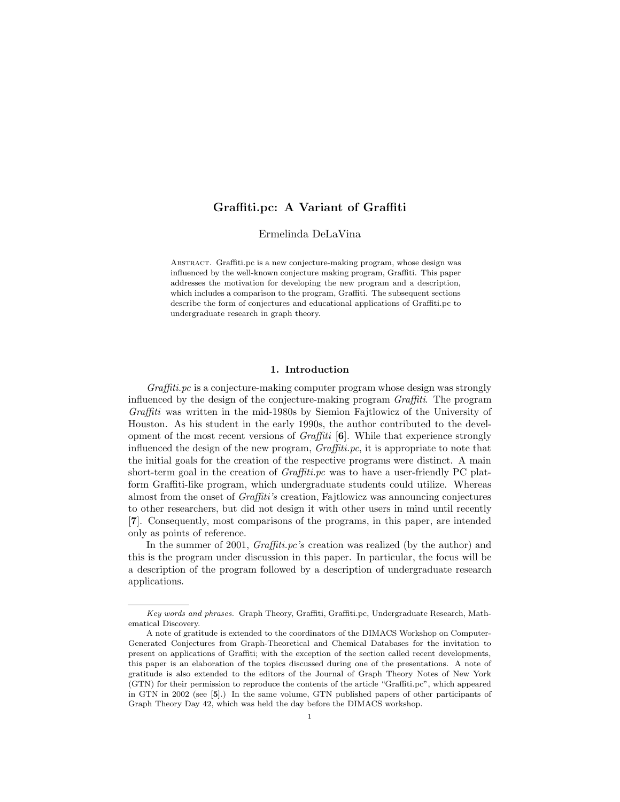# **Graffiti.pc: A Variant of Graffiti**

Ermelinda DeLaVina

Abstract. Graffiti.pc is a new conjecture-making program, whose design was influenced by the well-known conjecture making program, Graffiti. This paper addresses the motivation for developing the new program and a description, which includes a comparison to the program, Graffiti. The subsequent sections describe the form of conjectures and educational applications of Graffiti.pc to undergraduate research in graph theory.

## **1. Introduction**

*Graffiti.pc* is a conjecture-making computer program whose design was strongly influenced by the design of the conjecture-making program *Graffiti*. The program *Graffiti* was written in the mid-1980s by Siemion Fajtlowicz of the University of Houston. As his student in the early 1990s, the author contributed to the development of the most recent versions of *Graffiti* [**6**]. While that experience strongly influenced the design of the new program, *Graffiti.pc*, it is appropriate to note that the initial goals for the creation of the respective programs were distinct. A main short-term goal in the creation of *Graffiti.pc* was to have a user-friendly PC platform Graffiti-like program, which undergraduate students could utilize. Whereas almost from the onset of *Graffiti's* creation, Fajtlowicz was announcing conjectures to other researchers, but did not design it with other users in mind until recently [**7**]. Consequently, most comparisons of the programs, in this paper, are intended only as points of reference.

In the summer of 2001, *Graffiti.pc's* creation was realized (by the author) and this is the program under discussion in this paper. In particular, the focus will be a description of the program followed by a description of undergraduate research applications.

Key words and phrases. Graph Theory, Graffiti, Graffiti.pc, Undergraduate Research, Mathematical Discovery.

A note of gratitude is extended to the coordinators of the DIMACS Workshop on Computer-Generated Conjectures from Graph-Theoretical and Chemical Databases for the invitation to present on applications of Graffiti; with the exception of the section called recent developments, this paper is an elaboration of the topics discussed during one of the presentations. A note of gratitude is also extended to the editors of the Journal of Graph Theory Notes of New York (GTN) for their permission to reproduce the contents of the article "Graffiti.pc", which appeared in GTN in 2002 (see [**5**].) In the same volume, GTN published papers of other participants of Graph Theory Day 42, which was held the day before the DIMACS workshop.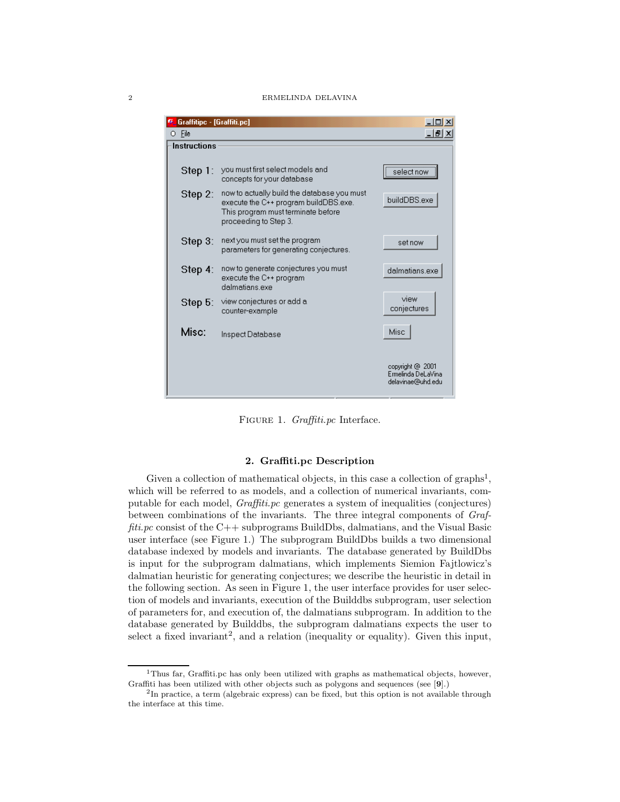#### 2 ERMELINDA DELAVINA

| <b>V</b> &Graffitipc - [Graffiti.pc] |                                                                                                                                                     | $ \Box$ $\times$                                            |
|--------------------------------------|-----------------------------------------------------------------------------------------------------------------------------------------------------|-------------------------------------------------------------|
| O File                               |                                                                                                                                                     | <u> 니리지</u>                                                 |
| <b>Instructions</b>                  |                                                                                                                                                     |                                                             |
| Step 1:                              | you must first select models and<br>concepts for your database                                                                                      | select now                                                  |
| Step 2:                              | now to actually build the database you must<br>execute the C++ program buildDBS.exe.<br>This program must terminate before<br>proceeding to Step 3. | buildDBS.exe                                                |
| Step $3$ :                           | next you must set the program<br>parameters for generating conjectures.                                                                             | set now                                                     |
| Step 4:                              | now to generate conjectures you must<br>execute the C++ program<br>dalmatians exe                                                                   | dalmatians.exe                                              |
| Step $5:$                            | view conjectures or add a<br>counter-example                                                                                                        | view<br>conjectures                                         |
| Misc:                                | Inspect Database                                                                                                                                    | Misc                                                        |
|                                      |                                                                                                                                                     | copyright @ 2001<br>Ermelinda DeLaVina<br>delavinae@uhd.edu |

Figure 1. *Graffiti.pc* Interface.

## **2. Graffiti.pc Description**

Given a collection of mathematical objects, in this case a collection of graphs<sup>1</sup>, which will be referred to as models, and a collection of numerical invariants, computable for each model, *Graffiti.pc* generates a system of inequalities (conjectures) between combinations of the invariants. The three integral components of *Graffiti.pc* consist of the C++ subprograms BuildDbs, dalmatians, and the Visual Basic user interface (see Figure 1.) The subprogram BuildDbs builds a two dimensional database indexed by models and invariants. The database generated by BuildDbs is input for the subprogram dalmatians, which implements Siemion Fajtlowicz's dalmatian heuristic for generating conjectures; we describe the heuristic in detail in the following section. As seen in Figure 1, the user interface provides for user selection of models and invariants, execution of the Builddbs subprogram, user selection of parameters for, and execution of, the dalmatians subprogram. In addition to the database generated by Builddbs, the subprogram dalmatians expects the user to select a fixed invariant<sup>2</sup>, and a relation (inequality or equality). Given this input,

<sup>&</sup>lt;sup>1</sup>Thus far, Graffiti.pc has only been utilized with graphs as mathematical objects, however, Graffiti has been utilized with other objects such as polygons and sequences (see [**9**].)

<sup>&</sup>lt;sup>2</sup>In practice, a term (algebraic express) can be fixed, but this option is not available through the interface at this time.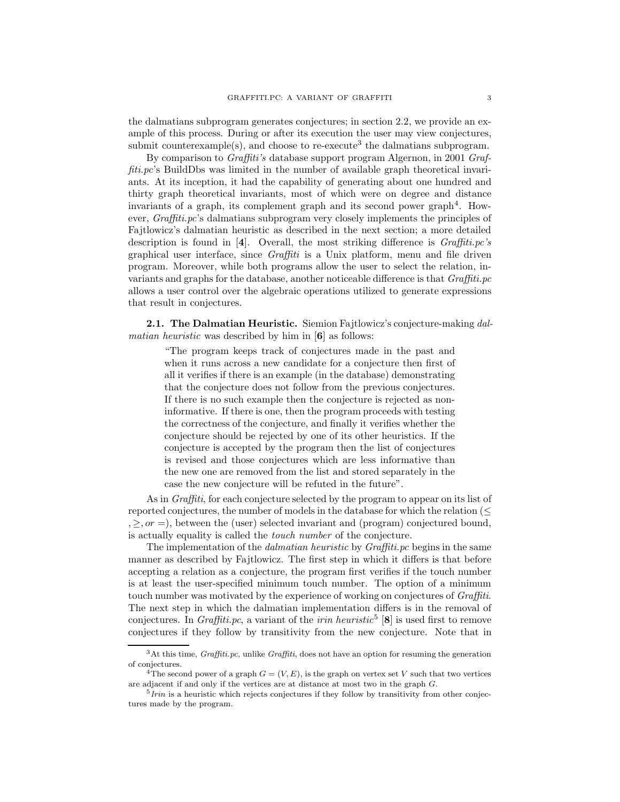the dalmatians subprogram generates conjectures; in section 2.2, we provide an example of this process. During or after its execution the user may view conjectures, submit counterexample(s), and choose to re-execute<sup>3</sup> the dalmatians subprogram.

By comparison to *Graffiti's* database support program Algernon, in 2001 *Graffiti.pc*'s BuildDbs was limited in the number of available graph theoretical invariants. At its inception, it had the capability of generating about one hundred and thirty graph theoretical invariants, most of which were on degree and distance invariants of a graph, its complement graph and its second power graph<sup>4</sup>. However, *Graffiti.pc*'s dalmatians subprogram very closely implements the principles of Fajtlowicz's dalmatian heuristic as described in the next section; a more detailed description is found in [**4**]. Overall, the most striking difference is *Graffiti.pc's* graphical user interface, since *Graffiti* is a Unix platform, menu and file driven program. Moreover, while both programs allow the user to select the relation, invariants and graphs for the database, another noticeable difference is that *Graffiti.pc* allows a user control over the algebraic operations utilized to generate expressions that result in conjectures.

**2.1. The Dalmatian Heuristic.** Siemion Fajtlowicz's conjecture-making *dalmatian heuristic* was described by him in [**6**] as follows:

"The program keeps track of conjectures made in the past and when it runs across a new candidate for a conjecture then first of all it verifies if there is an example (in the database) demonstrating that the conjecture does not follow from the previous conjectures. If there is no such example then the conjecture is rejected as noninformative. If there is one, then the program proceeds with testing the correctness of the conjecture, and finally it verifies whether the conjecture should be rejected by one of its other heuristics. If the conjecture is accepted by the program then the list of conjectures is revised and those conjectures which are less informative than the new one are removed from the list and stored separately in the case the new conjecture will be refuted in the future".

As in *Graffiti*, for each conjecture selected by the program to appear on its list of reported conjectures, the number of models in the database for which the relation  $(\leq$  $, \geq, or =$ ), between the (user) selected invariant and (program) conjectured bound, is actually equality is called the *touch number* of the conjecture.

The implementation of the *dalmatian heuristic* by *Graffiti.pc* begins in the same manner as described by Fajtlowicz. The first step in which it differs is that before accepting a relation as a conjecture, the program first verifies if the touch number is at least the user-specified minimum touch number. The option of a minimum touch number was motivated by the experience of working on conjectures of *Graffiti*. The next step in which the dalmatian implementation differs is in the removal of conjectures. In *Graffiti.pc*, a variant of the *irin heuristic*<sup>5</sup> [**8**] is used first to remove conjectures if they follow by transitivity from the new conjecture. Note that in

 $3$ At this time, *Graffiti.pc*, unlike *Graffiti*, does not have an option for resuming the generation of conjectures.

<sup>&</sup>lt;sup>4</sup>The second power of a graph  $G = (V, E)$ , is the graph on vertex set V such that two vertices are adjacent if and only if the vertices are at distance at most two in the graph G.

 $5$ *Irin* is a heuristic which rejects conjectures if they follow by transitivity from other conjectures made by the program.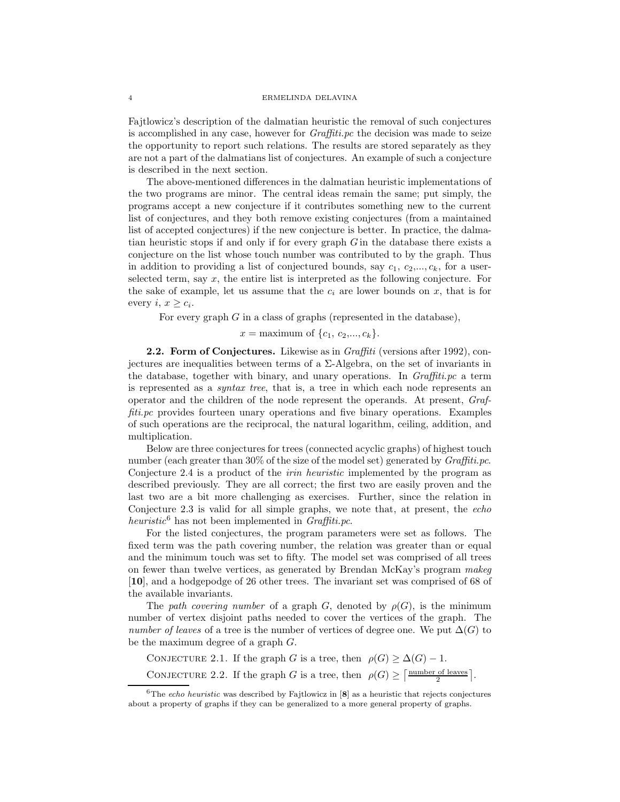#### 4 ERMELINDA DELAVINA

Fajtlowicz's description of the dalmatian heuristic the removal of such conjectures is accomplished in any case, however for *Graffiti.pc* the decision was made to seize the opportunity to report such relations. The results are stored separately as they are not a part of the dalmatians list of conjectures. An example of such a conjecture is described in the next section.

The above-mentioned differences in the dalmatian heuristic implementations of the two programs are minor. The central ideas remain the same; put simply, the programs accept a new conjecture if it contributes something new to the current list of conjectures, and they both remove existing conjectures (from a maintained list of accepted conjectures) if the new conjecture is better. In practice, the dalmatian heuristic stops if and only if for every graph  $G$  in the database there exists a conjecture on the list whose touch number was contributed to by the graph. Thus in addition to providing a list of conjectured bounds, say  $c_1, c_2, ..., c_k$ , for a userselected term, say  $x$ , the entire list is interpreted as the following conjecture. For the sake of example, let us assume that the  $c_i$  are lower bounds on x, that is for every  $i, x \geq c_i$ .

For every graph  $G$  in a class of graphs (represented in the database),

 $x = \text{maximum of } \{c_1, c_2, ..., c_k\}.$ 

**2.2. Form of Conjectures.** Likewise as in *Graffiti* (versions after 1992), conjectures are inequalities between terms of a Σ-Algebra, on the set of invariants in the database, together with binary, and unary operations. In *Graffiti.pc* a term is represented as a *syntax tree*, that is, a tree in which each node represents an operator and the children of the node represent the operands. At present, *Graffiti.pc* provides fourteen unary operations and five binary operations. Examples of such operations are the reciprocal, the natural logarithm, ceiling, addition, and multiplication.

Below are three conjectures for trees (connected acyclic graphs) of highest touch number (each greater than 30% of the size of the model set) generated by *Graffiti.pc*. Conjecture 2.4 is a product of the *irin heuristic* implemented by the program as described previously. They are all correct; the first two are easily proven and the last two are a bit more challenging as exercises. Further, since the relation in Conjecture 2.3 is valid for all simple graphs, we note that, at present, the *echo heuristic*<sup>6</sup> has not been implemented in *Graffiti.pc*.

For the listed conjectures, the program parameters were set as follows. The fixed term was the path covering number, the relation was greater than or equal and the minimum touch was set to fifty. The model set was comprised of all trees on fewer than twelve vertices, as generated by Brendan McKay's program *makeg* [**10**], and a hodgepodge of 26 other trees. The invariant set was comprised of 68 of the available invariants.

The *path covering number* of a graph G, denoted by  $\rho(G)$ , is the minimum number of vertex disjoint paths needed to cover the vertices of the graph. The *number of leaves* of a tree is the number of vertices of degree one. We put  $\Delta(G)$  to be the maximum degree of a graph G.

CONJECTURE 2.1. If the graph G is a tree, then  $\rho(G) \geq \Delta(G) - 1$ . CONJECTURE 2.2. If the graph G is a tree, then  $\rho(G) \geq \lceil \frac{\text{number of leaves}}{2} \rceil$ .

<sup>&</sup>lt;sup>6</sup>The *echo heuristic* was described by Fajtlowicz in  $[8]$  as a heuristic that rejects conjectures about a property of graphs if they can be generalized to a more general property of graphs.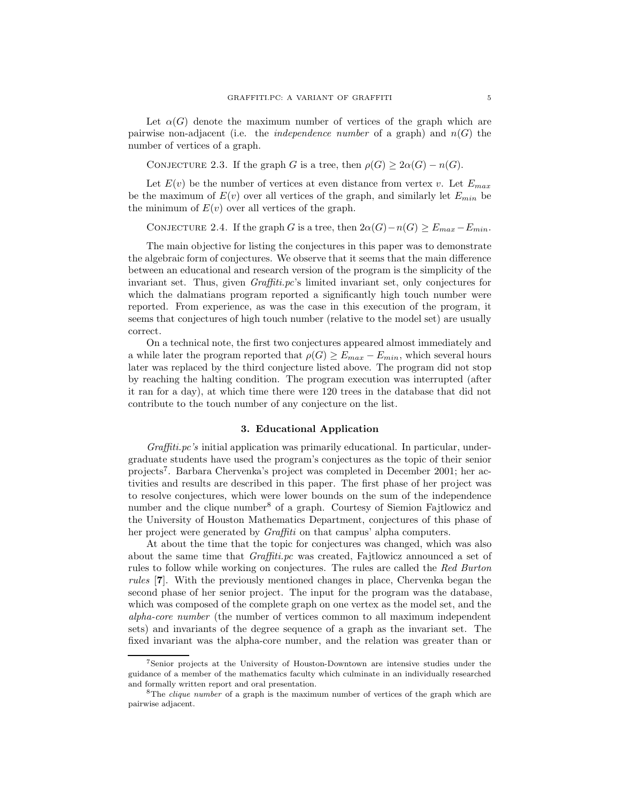Let  $\alpha(G)$  denote the maximum number of vertices of the graph which are pairwise non-adjacent (i.e. the *independence number* of a graph) and  $n(G)$  the number of vertices of a graph.

CONJECTURE 2.3. If the graph G is a tree, then  $\rho(G) \geq 2\alpha(G) - n(G)$ .

Let  $E(v)$  be the number of vertices at even distance from vertex v. Let  $E_{max}$ be the maximum of  $E(v)$  over all vertices of the graph, and similarly let  $E_{min}$  be the minimum of  $E(v)$  over all vertices of the graph.

CONJECTURE 2.4. If the graph G is a tree, then  $2\alpha(G)-n(G) \geq E_{max}-E_{min}$ .

The main objective for listing the conjectures in this paper was to demonstrate the algebraic form of conjectures. We observe that it seems that the main difference between an educational and research version of the program is the simplicity of the invariant set. Thus, given *Graffiti.pc*'s limited invariant set, only conjectures for which the dalmatians program reported a significantly high touch number were reported. From experience, as was the case in this execution of the program, it seems that conjectures of high touch number (relative to the model set) are usually correct.

On a technical note, the first two conjectures appeared almost immediately and a while later the program reported that  $\rho(G) \geq E_{max} - E_{min}$ , which several hours later was replaced by the third conjecture listed above. The program did not stop by reaching the halting condition. The program execution was interrupted (after it ran for a day), at which time there were 120 trees in the database that did not contribute to the touch number of any conjecture on the list.

## **3. Educational Application**

*Graffiti.pc's* initial application was primarily educational. In particular, undergraduate students have used the program's conjectures as the topic of their senior projects<sup>7</sup>. Barbara Chervenka's project was completed in December 2001; her activities and results are described in this paper. The first phase of her project was to resolve conjectures, which were lower bounds on the sum of the independence number and the clique number<sup>8</sup> of a graph. Courtesy of Siemion Fajtlowicz and the University of Houston Mathematics Department, conjectures of this phase of her project were generated by *Graffiti* on that campus' alpha computers.

At about the time that the topic for conjectures was changed, which was also about the same time that *Graffiti.pc* was created, Fajtlowicz announced a set of rules to follow while working on conjectures. The rules are called the *Red Burton rules* [**7**]. With the previously mentioned changes in place, Chervenka began the second phase of her senior project. The input for the program was the database, which was composed of the complete graph on one vertex as the model set, and the *alpha-core number* (the number of vertices common to all maximum independent sets) and invariants of the degree sequence of a graph as the invariant set. The fixed invariant was the alpha-core number, and the relation was greater than or

<sup>7</sup>Senior projects at the University of Houston-Downtown are intensive studies under the guidance of a member of the mathematics faculty which culminate in an individually researched and formally written report and oral presentation.

 ${}^8$ The *clique number* of a graph is the maximum number of vertices of the graph which are pairwise adjacent.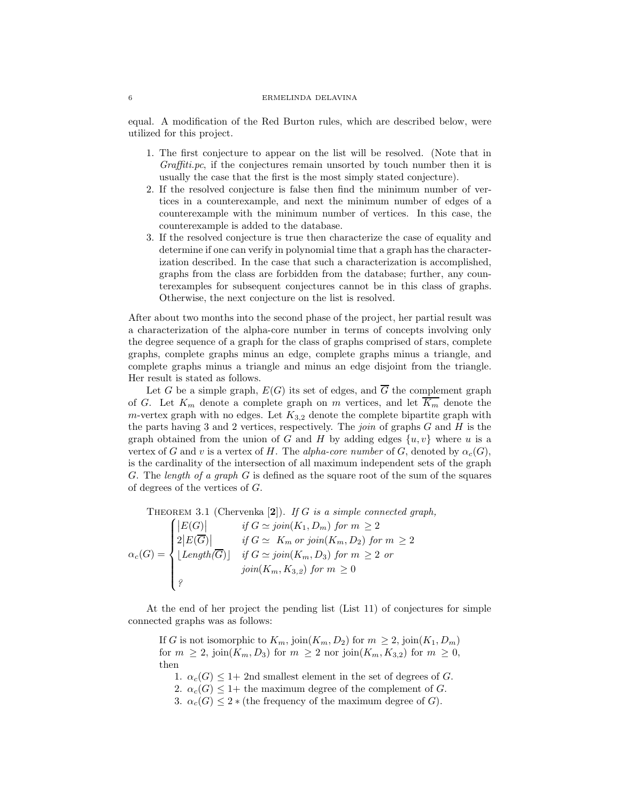#### 6 ERMELINDA DELAVINA

equal. A modification of the Red Burton rules, which are described below, were utilized for this project.

- 1. The first conjecture to appear on the list will be resolved. (Note that in *Graffiti.pc*, if the conjectures remain unsorted by touch number then it is usually the case that the first is the most simply stated conjecture).
- 2. If the resolved conjecture is false then find the minimum number of vertices in a counterexample, and next the minimum number of edges of a counterexample with the minimum number of vertices. In this case, the counterexample is added to the database.
- 3. If the resolved conjecture is true then characterize the case of equality and determine if one can verify in polynomial time that a graph has the characterization described. In the case that such a characterization is accomplished, graphs from the class are forbidden from the database; further, any counterexamples for subsequent conjectures cannot be in this class of graphs. Otherwise, the next conjecture on the list is resolved.

After about two months into the second phase of the project, her partial result was a characterization of the alpha-core number in terms of concepts involving only the degree sequence of a graph for the class of graphs comprised of stars, complete graphs, complete graphs minus an edge, complete graphs minus a triangle, and complete graphs minus a triangle and minus an edge disjoint from the triangle. Her result is stated as follows.

Let G be a simple graph,  $E(G)$  its set of edges, and  $\overline{G}$  the complement graph of G. Let  $K_m$  denote a complete graph on m vertices, and let  $\overline{K_m}$  denote the m-vertex graph with no edges. Let  $K_{3,2}$  denote the complete bipartite graph with the parts having 3 and 2 vertices, respectively. The *join* of graphs G and H is the graph obtained from the union of G and H by adding edges  $\{u, v\}$  where u is a vertex of G and v is a vertex of H. The *alpha-core number* of G, denoted by  $\alpha_c(G)$ , is the cardinality of the intersection of all maximum independent sets of the graph G. The *length of a graph* G is defined as the square root of the sum of the squares of degrees of the vertices of G.

Theorem 3.1 (Chervenka [**2**]). *If* G *is a simple connected graph,*

 $\alpha_c(G) =$  $\sqrt{ }$  $\int$  $\overline{\mathcal{L}}$  $\left| E(G) \right|$  *if*  $G \simeq \text{join}(K_1, D_m)$  *for*  $m \geq 2$  $2|E(\overline{G})|$  *if*  $G \simeq K_m$  or join( $K_m, D_2$ ) for  $m \geq 2$  $\lfloor Length(G) \rfloor$  *if*  $G \simeq join(K_m, D_3)$  *for*  $m \geq 2$  *or*  $\text{join}(K_m, K_{3,2}) \text{ for } m \geq 0$ *?*

At the end of her project the pending list (List 11) of conjectures for simple connected graphs was as follows:

If G is not isomorphic to  $K_m$ , join $(K_m, D_2)$  for  $m \geq 2$ , join $(K_1, D_m)$ for  $m \geq 2$ , join $(K_m, D_3)$  for  $m \geq 2$  nor join $(K_m, K_{3,2})$  for  $m \geq 0$ , then

1.  $\alpha_c(G) \leq 1+2$ nd smallest element in the set of degrees of G.

2.  $\alpha_c(G) \leq 1+$  the maximum degree of the complement of G.

3.  $\alpha_c(G) \leq 2 *$  (the frequency of the maximum degree of G).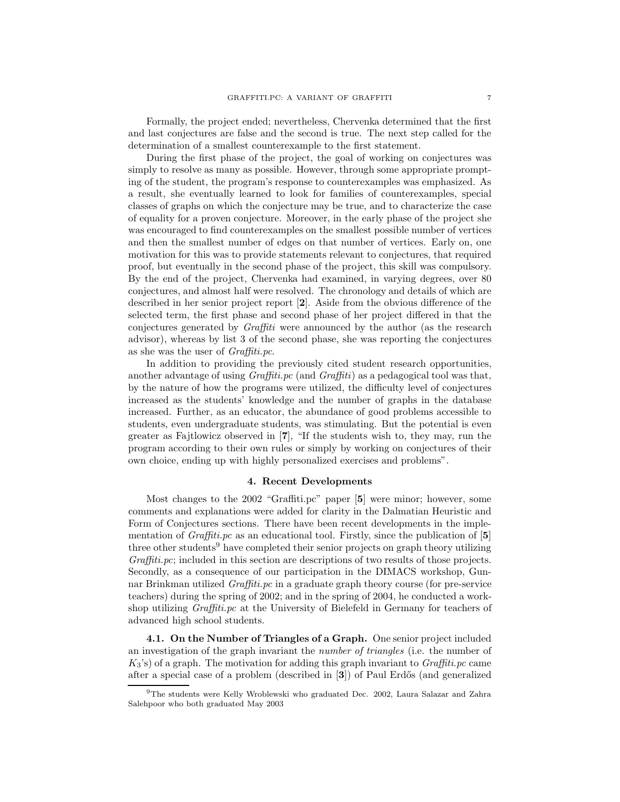Formally, the project ended; nevertheless, Chervenka determined that the first and last conjectures are false and the second is true. The next step called for the determination of a smallest counterexample to the first statement.

During the first phase of the project, the goal of working on conjectures was simply to resolve as many as possible. However, through some appropriate prompting of the student, the program's response to counterexamples was emphasized. As a result, she eventually learned to look for families of counterexamples, special classes of graphs on which the conjecture may be true, and to characterize the case of equality for a proven conjecture. Moreover, in the early phase of the project she was encouraged to find counterexamples on the smallest possible number of vertices and then the smallest number of edges on that number of vertices. Early on, one motivation for this was to provide statements relevant to conjectures, that required proof, but eventually in the second phase of the project, this skill was compulsory. By the end of the project, Chervenka had examined, in varying degrees, over 80 conjectures, and almost half were resolved. The chronology and details of which are described in her senior project report [**2**]. Aside from the obvious difference of the selected term, the first phase and second phase of her project differed in that the conjectures generated by *Graffiti* were announced by the author (as the research advisor), whereas by list 3 of the second phase, she was reporting the conjectures as she was the user of *Graffiti.pc*.

In addition to providing the previously cited student research opportunities, another advantage of using *Graffiti.pc* (and *Graffiti*) as a pedagogical tool was that, by the nature of how the programs were utilized, the difficulty level of conjectures increased as the students' knowledge and the number of graphs in the database increased. Further, as an educator, the abundance of good problems accessible to students, even undergraduate students, was stimulating. But the potential is even greater as Fajtlowicz observed in [**7**], "If the students wish to, they may, run the program according to their own rules or simply by working on conjectures of their own choice, ending up with highly personalized exercises and problems".

### **4. Recent Developments**

Most changes to the 2002 "Graffiti.pc" paper [**5**] were minor; however, some comments and explanations were added for clarity in the Dalmatian Heuristic and Form of Conjectures sections. There have been recent developments in the implementation of *Graffiti.pc* as an educational tool. Firstly, since the publication of [**5**] three other students<sup>9</sup> have completed their senior projects on graph theory utilizing *Graffiti.pc*; included in this section are descriptions of two results of those projects. Secondly, as a consequence of our participation in the DIMACS workshop, Gunnar Brinkman utilized *Graffiti.pc* in a graduate graph theory course (for pre-service teachers) during the spring of 2002; and in the spring of 2004, he conducted a workshop utilizing *Graffiti.pc* at the University of Bielefeld in Germany for teachers of advanced high school students.

**4.1. On the Number of Triangles of a Graph.** One senior project included an investigation of the graph invariant the *number of triangles* (i.e. the number of K3's) of a graph. The motivation for adding this graph invariant to *Graffiti.pc* came after a special case of a problem (described in [**3**]) of Paul Erd˝os (and generalized

<sup>9</sup>The students were Kelly Wroblewski who graduated Dec. 2002, Laura Salazar and Zahra Salehpoor who both graduated May 2003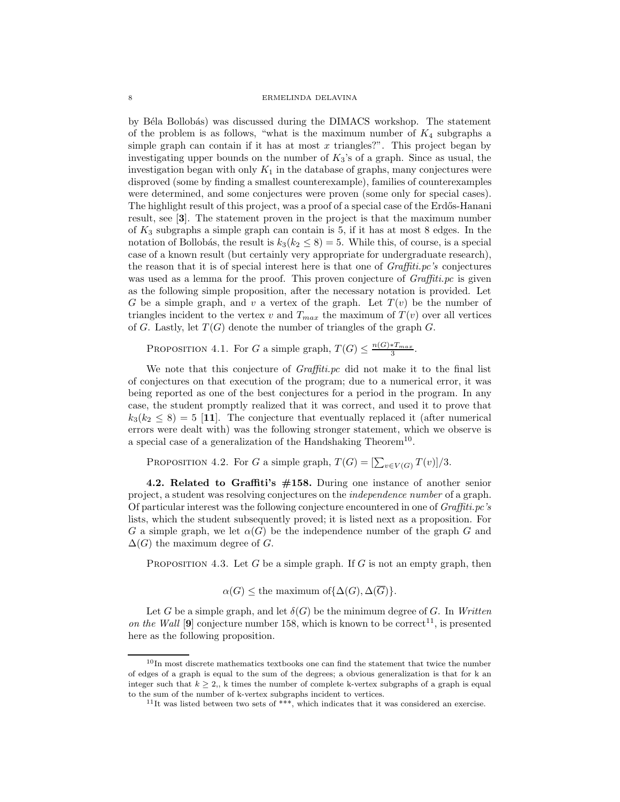by Béla Bollobás) was discussed during the DIMACS workshop. The statement of the problem is as follows, "what is the maximum number of  $K_4$  subgraphs a simple graph can contain if it has at most  $x$  triangles?". This project began by investigating upper bounds on the number of  $K_3$ 's of a graph. Since as usual, the investigation began with only  $K_1$  in the database of graphs, many conjectures were disproved (some by finding a smallest counterexample), families of counterexamples were determined, and some conjectures were proven (some only for special cases). The highlight result of this project, was a proof of a special case of the Erdős-Hanani result, see [**3**]. The statement proven in the project is that the maximum number of  $K_3$  subgraphs a simple graph can contain is 5, if it has at most 8 edges. In the notation of Bollobás, the result is  $k_3(k_2 \leq 8) = 5$ . While this, of course, is a special case of a known result (but certainly very appropriate for undergraduate research), the reason that it is of special interest here is that one of *Graffiti.pc's* conjectures was used as a lemma for the proof. This proven conjecture of *Graffiti.pc* is given as the following simple proposition, after the necessary notation is provided. Let G be a simple graph, and v a vertex of the graph. Let  $T(v)$  be the number of triangles incident to the vertex v and  $T_{max}$  the maximum of  $T(v)$  over all vertices of G. Lastly, let  $T(G)$  denote the number of triangles of the graph G.

PROPOSITION 4.1. For G a simple graph,  $T(G) \leq \frac{n(G) * T_{max}}{3}$ .

We note that this conjecture of *Graffiti.pc* did not make it to the final list of conjectures on that execution of the program; due to a numerical error, it was being reported as one of the best conjectures for a period in the program. In any case, the student promptly realized that it was correct, and used it to prove that  $k_3(k_2 \leq 8) = 5$  [11]. The conjecture that eventually replaced it (after numerical errors were dealt with) was the following stronger statement, which we observe is a special case of a generalization of the Handshaking Theorem<sup>10</sup>.

PROPOSITION 4.2. For G a simple graph,  $T(G) = \left[\sum_{v \in V(G)} T(v)\right]/3$ .

**4.2. Related to Graffiti's #158.** During one instance of another senior project, a student was resolving conjectures on the *independence number* of a graph. Of particular interest was the following conjecture encountered in one of *Graffiti.pc's* lists, which the student subsequently proved; it is listed next as a proposition. For G a simple graph, we let  $\alpha(G)$  be the independence number of the graph G and  $\Delta(G)$  the maximum degree of G.

PROPOSITION 4.3. Let G be a simple graph. If G is not an empty graph, then

 $\alpha(G) \leq$  the maximum of  $\{\Delta(G), \Delta(\overline{G})\}.$ 

Let G be a simple graph, and let  $\delta(G)$  be the minimum degree of G. In *Written on the Wall* [9] conjecture number 158, which is known to be correct<sup>11</sup>, is presented here as the following proposition.

 $10$ In most discrete mathematics textbooks one can find the statement that twice the number of edges of a graph is equal to the sum of the degrees; a obvious generalization is that for k an integer such that  $k \geq 2$ , k times the number of complete k-vertex subgraphs of a graph is equal to the sum of the number of k-vertex subgraphs incident to vertices.

<sup>&</sup>lt;sup>11</sup>It was listed between two sets of \*\*\*, which indicates that it was considered an exercise.